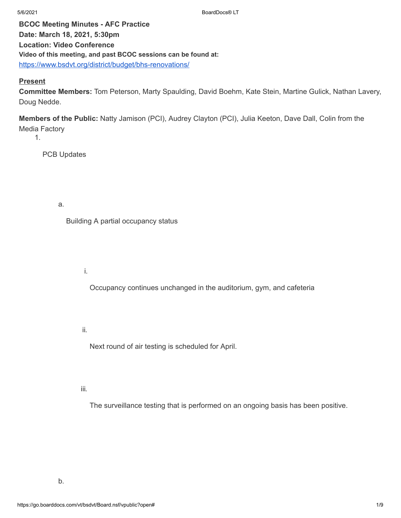**BCOC Meeting Minutes - AFC Practice Date: March 18, 2021, 5:30pm Location: Video Conference Video of this meeting, and past BCOC sessions can be found at:** <https://www.bsdvt.org/district/budget/bhs-renovations/>

## **Present**

**Committee Members:** Tom Peterson, Marty Spaulding, David Boehm, Kate Stein, Martine Gulick, Nathan Lavery, Doug Nedde.

**Members of the Public:** Natty Jamison (PCI), Audrey Clayton (PCI), Julia Keeton, Dave Dall, Colin from the Media Factory

1.

PCB Updates

a.

Building A partial occupancy status

i.

Occupancy continues unchanged in the auditorium, gym, and cafeteria

ii.

Next round of air testing is scheduled for April.

iii.

The surveillance testing that is performed on an ongoing basis has been positive.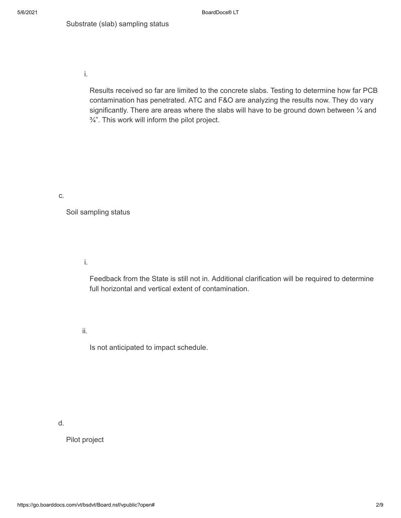i.

Results received so far are limited to the concrete slabs. Testing to determine how far PCB contamination has penetrated. ATC and F&O are analyzing the results now. They do vary significantly. There are areas where the slabs will have to be ground down between  $\frac{1}{4}$  and  $\frac{3}{4}$ ". This work will inform the pilot project.

#### c.

Soil sampling status

i.

Feedback from the State is still not in. Additional clarification will be required to determine full horizontal and vertical extent of contamination.

ii.

Is not anticipated to impact schedule.

d.

Pilot project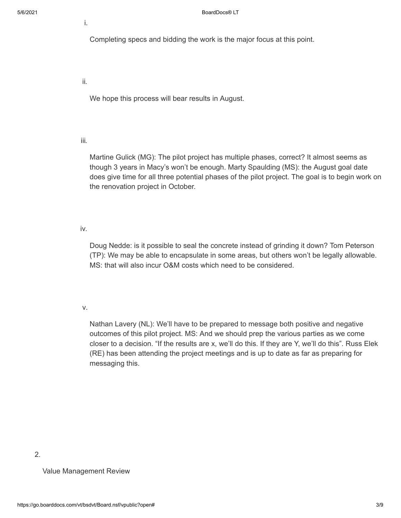i.

Completing specs and bidding the work is the major focus at this point.

ii.

We hope this process will bear results in August.

iii.

Martine Gulick (MG): The pilot project has multiple phases, correct? It almost seems as though 3 years in Macy's won't be enough. Marty Spaulding (MS): the August goal date does give time for all three potential phases of the pilot project. The goal is to begin work on the renovation project in October.

iv.

Doug Nedde: is it possible to seal the concrete instead of grinding it down? Tom Peterson (TP): We may be able to encapsulate in some areas, but others won't be legally allowable. MS: that will also incur O&M costs which need to be considered.

v.

Nathan Lavery (NL): We'll have to be prepared to message both positive and negative outcomes of this pilot project. MS: And we should prep the various parties as we come closer to a decision. "If the results are x, we'll do this. If they are Y, we'll do this". Russ Elek (RE) has been attending the project meetings and is up to date as far as preparing for messaging this.

2.

Value Management Review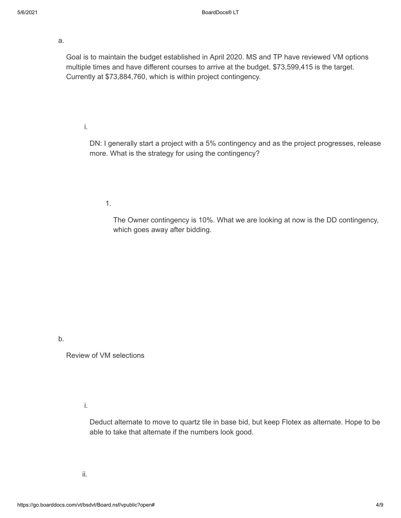a.

Goal is to maintain the budget established in April 2020. MS and TP have reviewed VM options multiple times and have different courses to arrive at the budget. \$73,599,415 is the target. Currently at \$73,884,760, which is within project contingency.

i.

DN: I generally start a project with a 5% contingency and as the project progresses, release more. What is the strategy for using the contingency?

1.

The Owner contingency is 10%. What we are looking at now is the DD contingency, which goes away after bidding.

b.

Review of VM selections

i.

Deduct alternate to move to quartz tile in base bid, but keep Flotex as alternate. Hope to be able to take that alternate if the numbers look good.

ii.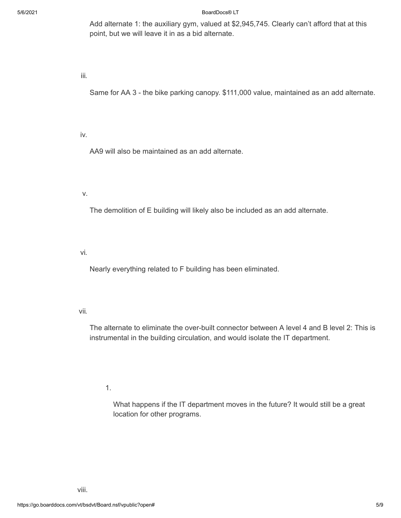5/6/2021 BoardDocs® LT

Add alternate 1: the auxiliary gym, valued at \$2,945,745. Clearly can't afford that at this point, but we will leave it in as a bid alternate.

iii.

Same for AA 3 - the bike parking canopy. \$111,000 value, maintained as an add alternate.

iv.

AA9 will also be maintained as an add alternate.

v.

The demolition of E building will likely also be included as an add alternate.

vi.

Nearly everything related to F building has been eliminated.

vii.

The alternate to eliminate the over-built connector between A level 4 and B level 2: This is instrumental in the building circulation, and would isolate the IT department.

1.

What happens if the IT department moves in the future? It would still be a great location for other programs.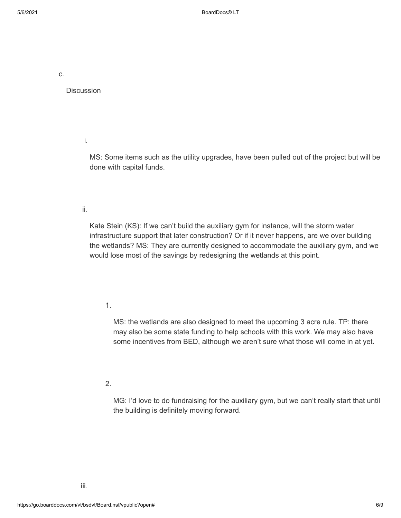c.

**Discussion** 

i.

MS: Some items such as the utility upgrades, have been pulled out of the project but will be done with capital funds.

### ii.

Kate Stein (KS): If we can't build the auxiliary gym for instance, will the storm water infrastructure support that later construction? Or if it never happens, are we over building the wetlands? MS: They are currently designed to accommodate the auxiliary gym, and we would lose most of the savings by redesigning the wetlands at this point.

### 1.

MS: the wetlands are also designed to meet the upcoming 3 acre rule. TP: there may also be some state funding to help schools with this work. We may also have some incentives from BED, although we aren't sure what those will come in at yet.

### 2.

MG: I'd love to do fundraising for the auxiliary gym, but we can't really start that until the building is definitely moving forward.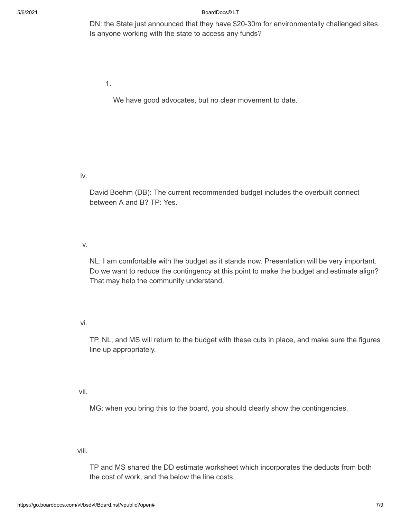5/6/2021 BoardDocs® LT

DN: the State just announced that they have \$20-30m for environmentally challenged sites. Is anyone working with the state to access any funds?

1.

We have good advocates, but no clear movement to date.

iv.

David Boehm (DB): The current recommended budget includes the overbuilt connect between A and B? TP: Yes.

v.

NL: I am comfortable with the budget as it stands now. Presentation will be very important. Do we want to reduce the contingency at this point to make the budget and estimate align? That may help the community understand.

# vi.

TP, NL, and MS will return to the budget with these cuts in place, and make sure the figures line up appropriately.

vii.

MG: when you bring this to the board, you should clearly show the contingencies.

viii.

TP and MS shared the DD estimate worksheet which incorporates the deducts from both the cost of work, and the below the line costs.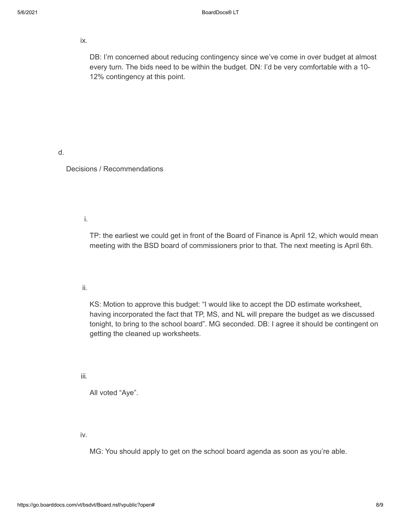ix.

DB: I'm concerned about reducing contingency since we've come in over budget at almost every turn. The bids need to be within the budget. DN: I'd be very comfortable with a 10- 12% contingency at this point.

d.

Decisions / Recommendations

i.

TP: the earliest we could get in front of the Board of Finance is April 12, which would mean meeting with the BSD board of commissioners prior to that. The next meeting is April 6th.

ii.

KS: Motion to approve this budget: "I would like to accept the DD estimate worksheet, having incorporated the fact that TP, MS, and NL will prepare the budget as we discussed tonight, to bring to the school board". MG seconded. DB: I agree it should be contingent on getting the cleaned up worksheets.

iii.

All voted "Aye".

iv.

MG: You should apply to get on the school board agenda as soon as you're able.